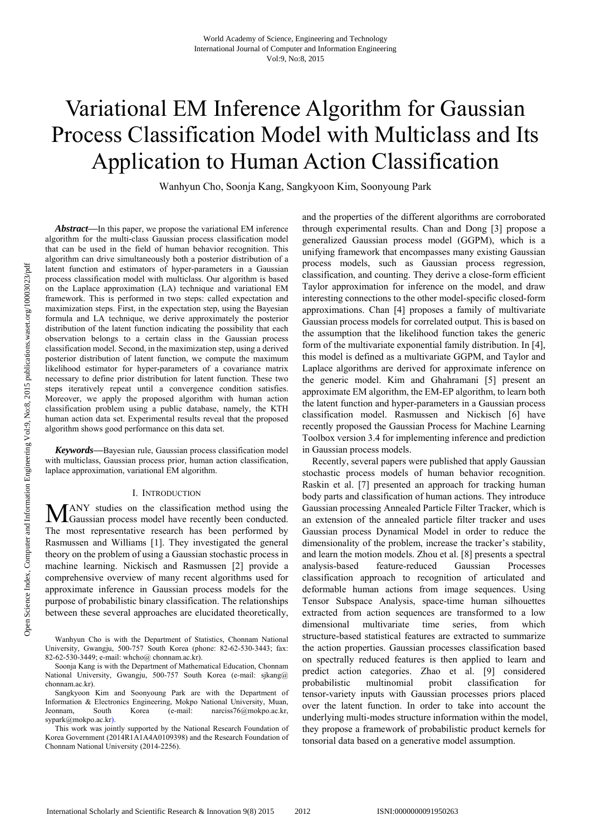# Variational EM Inference Algorithm for Gaussian Process Classification Model with Multiclass and Its Application to Human Action Classification

Wanhyun Cho, Soonja Kang, Sangkyoon Kim, Soonyoung Park

pen Science Index, Computer and Information Engineering Vol.9, No.8, 2015 publications.waset.org/10003023/pdf Open Science Index, Computer and Information Engineering Vol:9, No:8, 2015 publications.waset.org/10003023/pdf

*Abstract***—**In this paper, we propose the variational EM inference algorithm for the multi-class Gaussian process classification model that can be used in the field of human behavior recognition. This algorithm can drive simultaneously both a posterior distribution of a latent function and estimators of hyper-parameters in a Gaussian process classification model with multiclass. Our algorithm is based on the Laplace approximation (LA) technique and variational EM framework. This is performed in two steps: called expectation and maximization steps. First, in the expectation step, using the Bayesian formula and LA technique, we derive approximately the posterior distribution of the latent function indicating the possibility that each observation belongs to a certain class in the Gaussian process classification model. Second, in the maximization step, using a derived posterior distribution of latent function, we compute the maximum likelihood estimator for hyper-parameters of a covariance matrix necessary to define prior distribution for latent function. These two steps iteratively repeat until a convergence condition satisfies. Moreover, we apply the proposed algorithm with human action classification problem using a public database, namely, the KTH human action data set. Experimental results reveal that the proposed algorithm shows good performance on this data set.

*Keywords***—**Bayesian rule, Gaussian process classification model with multiclass, Gaussian process prior, human action classification, laplace approximation, variational EM algorithm.

# I. INTRODUCTION

ANY studies on the classification method using the MANY studies on the classification method using the Gaussian process model have recently been conducted. The most representative research has been performed by Rasmussen and Williams [1]. They investigated the general theory on the problem of using a Gaussian stochastic process in machine learning. Nickisch and Rasmussen [2] provide a comprehensive overview of many recent algorithms used for approximate inference in Gaussian process models for the purpose of probabilistic binary classification. The relationships between these several approaches are elucidated theoretically,

and the properties of the different algorithms are corroborated through experimental results. Chan and Dong [3] propose a generalized Gaussian process model (GGPM), which is a unifying framework that encompasses many existing Gaussian process models, such as Gaussian process regression, classification, and counting. They derive a close-form efficient Taylor approximation for inference on the model, and draw interesting connections to the other model-specific closed-form approximations. Chan [4] proposes a family of multivariate Gaussian process models for correlated output. This is based on the assumption that the likelihood function takes the generic form of the multivariate exponential family distribution. In [4], this model is defined as a multivariate GGPM, and Taylor and Laplace algorithms are derived for approximate inference on the generic model. Kim and Ghahramani [5] present an approximate EM algorithm, the EM-EP algorithm, to learn both the latent function and hyper-parameters in a Gaussian process classification model. Rasmussen and Nickisch [6] have recently proposed the Gaussian Process for Machine Learning Toolbox version 3.4 for implementing inference and prediction in Gaussian process models.

Recently, several papers were published that apply Gaussian stochastic process models of human behavior recognition. Raskin et al. [7] presented an approach for tracking human body parts and classification of human actions. They introduce Gaussian processing Annealed Particle Filter Tracker, which is an extension of the annealed particle filter tracker and uses Gaussian process Dynamical Model in order to reduce the dimensionality of the problem, increase the tracker's stability, and learn the motion models. Zhou et al. [8] presents a spectral analysis-based feature-reduced Gaussian Processes classification approach to recognition of articulated and deformable human actions from image sequences. Using Tensor Subspace Analysis, space-time human silhouettes extracted from action sequences are transformed to a low dimensional multivariate time series, from which structure-based statistical features are extracted to summarize the action properties. Gaussian processes classification based on spectrally reduced features is then applied to learn and predict action categories. Zhao et al. [9] considered probabilistic multinomial probit classification for tensor-variety inputs with Gaussian processes priors placed over the latent function. In order to take into account the underlying multi-modes structure information within the model, they propose a framework of probabilistic product kernels for tonsorial data based on a generative model assumption.

Wanhyun Cho is with the Department of Statistics, Chonnam National University, Gwangju, 500-757 South Korea (phone: 82-62-530-3443; fax: 82-62-530-3449; e-mail: whcho@ chonnam.ac.kr).

Soonja Kang is with the Department of Mathematical Education, Chonnam National University, Gwangju, 500-757 South Korea (e-mail: sjkang@ chonnam.ac.kr).

Sangkyoon Kim and Soonyoung Park are with the Department of Information & Electronics Engineering, Mokpo National University, Muan, Jeonnam, South Korea (e-mail: narciss76@mokpo.ac.kr.) Jeonnam, South Korea (e-mail: narciss76@mokpo.ac.kr, sypark@mokpo.ac.kr).

This work was jointly supported by the National Research Foundation of Korea Government (2014R1A1A4A0109398) and the Research Foundation of Chonnam National University (2014-2256).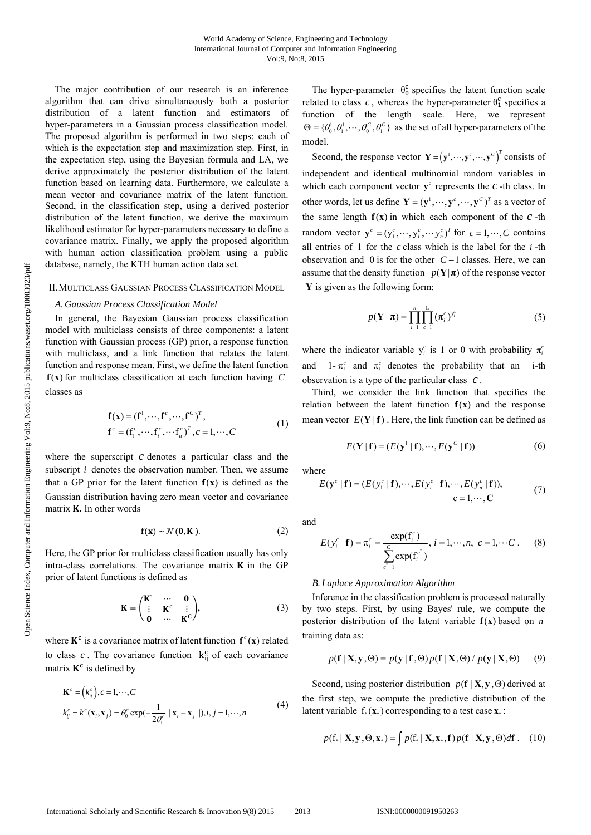The major contribution of our research is an inference algorithm that can drive simultaneously both a posterior distribution of a latent function and estimators of hyper-parameters in a Gaussian process classification model. The proposed algorithm is performed in two steps: each of which is the expectation step and maximization step. First, in the expectation step, using the Bayesian formula and LA, we derive approximately the posterior distribution of the latent function based on learning data. Furthermore, we calculate a mean vector and covariance matrix of the latent function. Second, in the classification step, using a derived posterior distribution of the latent function, we derive the maximum likelihood estimator for hyper-parameters necessary to define a covariance matrix. Finally, we apply the proposed algorithm with human action classification problem using a public database, namely, the KTH human action data set.

# II.MULTICLASS GAUSSIAN PROCESS CLASSIFICATION MODEL

#### *A.Gaussian Process Classification Model*

In general, the Bayesian Gaussian process classification model with multiclass consists of three components: a latent function with Gaussian process (GP) prior, a response function with multiclass, and a link function that relates the latent function and response mean. First, we define the latent function f(x) for multiclass classification at each function having C classes as

$$
\mathbf{f}(\mathbf{x}) = (\mathbf{f}^1, \cdots, \mathbf{f}^c, \cdots, \mathbf{f}^c)^T, \n\mathbf{f}^c = (\mathbf{f}_1^c, \cdots, \mathbf{f}_i^c, \cdots, \mathbf{f}_n^c)^T, c = 1, \cdots, C
$$
\n(1)

where the superscript *c* denotes a particular class and the subscript *i* denotes the observation number. Then, we assume that a GP prior for the latent function  $f(x)$  is defined as the Gaussian distribution having zero mean vector and covariance matrix **K**. In other words

$$
\mathbf{f}(\mathbf{x}) \sim \mathcal{N}(\mathbf{0}, \mathbf{K}).\tag{2}
$$

Here, the GP prior for multiclass classification usually has only intra-class correlations. The covariance matrix  $K$  in the GP prior of latent functions is defined as

$$
\mathbf{K} = \begin{pmatrix} \mathbf{K}^1 & \cdots & \mathbf{0} \\ \vdots & \mathbf{K}^c & \vdots \\ \mathbf{0} & \cdots & \mathbf{K}^C \end{pmatrix},\tag{3}
$$

where  $K^c$  is a covariance matrix of latent function  $f^c(x)$  related to class  $c$ . The covariance function  $k_{ij}^c$  of each covariance matrix  $K^c$  is defined by

$$
\mathbf{K}^c = (k_{ij}^c), c = 1, \cdots, C
$$
  
\n
$$
k_{ij}^c = k^c(\mathbf{x}_i, \mathbf{x}_j) = \theta_0^c \exp(-\frac{1}{2\theta_1^c} || \mathbf{x}_i - \mathbf{x}_j ||), i, j = 1, \cdots, n
$$
\n(4)

The hyper-parameter  $\theta_0^c$  specifies the latent function scale related to class  $c$ , whereas the hyper-parameter  $\theta_1^c$  specifies a function of the length scale. Here, we represent  $\Theta = {\theta_0^1, \theta_1^1, \cdots, \theta_0^C, \theta_1^C}$  as the set of all hyper-parameters of the model.

Second, the response vector  $\mathbf{Y} = (\mathbf{y}^1, \dots, \mathbf{y}^c, \dots, \mathbf{y}^c)^T$  consists of independent and identical multinomial random variables in which each component vector  $y^c$  represents the  $c$ -th class. In other words, let us define  $\mathbf{Y} = (\mathbf{y}^1, \dots, \mathbf{y}^c, \dots, \mathbf{y}^c)^T$  as a vector of the same length  $f(x)$  in which each component of the  $c$ -th random vector  $\mathbf{y}^c = (y_1^c, \dots, y_i^c, \dots, y_n^c)^T$  for  $c = 1, \dots, C$  contains all entries of 1 for the  $c$  class which is the label for the  $i$ -th observation and 0 is for the other  $C-1$  classes. Here, we can assume that the density function  $p(Y|\pi)$  of the response vector  $\bf{Y}$  is given as the following form:

$$
p(\mathbf{Y} \mid \boldsymbol{\pi}) = \prod_{i=1}^{n} \prod_{c=1}^{C} (\pi_i^c)^{y_i^c}
$$
 (5)

where the indicator variable  $y_i^c$  is 1 or 0 with probability  $\pi_i^c$ and 1- $\pi_i^c$  and  $\pi_i^c$  denotes the probability that an i-th observation is a type of the particular class  $c$ .

Third, we consider the link function that specifies the relation between the latent function  $f(x)$  and the response mean vector  $E(Y | f)$ . Here, the link function can be defined as

$$
E(\mathbf{Y} | \mathbf{f}) = (E(\mathbf{y}^1 | \mathbf{f}), \cdots, E(\mathbf{y}^C | \mathbf{f}))
$$
 (6)

where

$$
E(\mathbf{y}^c \mid \mathbf{f}) = (E(y_1^c \mid \mathbf{f}), \cdots, E(y_i^c \mid \mathbf{f}), \cdots, E(y_n^c \mid \mathbf{f})),
$$
  
\n
$$
c = 1, \cdots, C
$$
 (7)

and

$$
E(y_i^c | \mathbf{f}) = \pi_i^c = \frac{\exp(\mathbf{f}_i^c)}{\sum_{c'=1}^C \exp(\mathbf{f}_i^{c'})}, i = 1, \cdots, n, c = 1, \cdots C.
$$
 (8)

### *B.Laplace Approximation Algorithm*

Inference in the classification problem is processed naturally by two steps. First, by using Bayes' rule, we compute the posterior distribution of the latent variable  $f(x)$  based on *n* training data as:

$$
p(\mathbf{f} \mid \mathbf{X}, \mathbf{y}, \Theta) = p(\mathbf{y} \mid \mathbf{f}, \Theta) p(\mathbf{f} \mid \mathbf{X}, \Theta) / p(\mathbf{y} \mid \mathbf{X}, \Theta) \tag{9}
$$

Second, using posterior distribution  $p(f | X, y, \Theta)$  derived at the first step, we compute the predictive distribution of the latent variable  $f_*(\mathbf{x}_*)$  corresponding to a test case  $\mathbf{x}_*$ :

$$
p(\mathbf{f}_* | \mathbf{X}, \mathbf{y}, \Theta, \mathbf{x}_*) = \int p(\mathbf{f}_* | \mathbf{X}, \mathbf{x}_*, \mathbf{f}) p(\mathbf{f} | \mathbf{X}, \mathbf{y}, \Theta) d\mathbf{f}.
$$
 (10)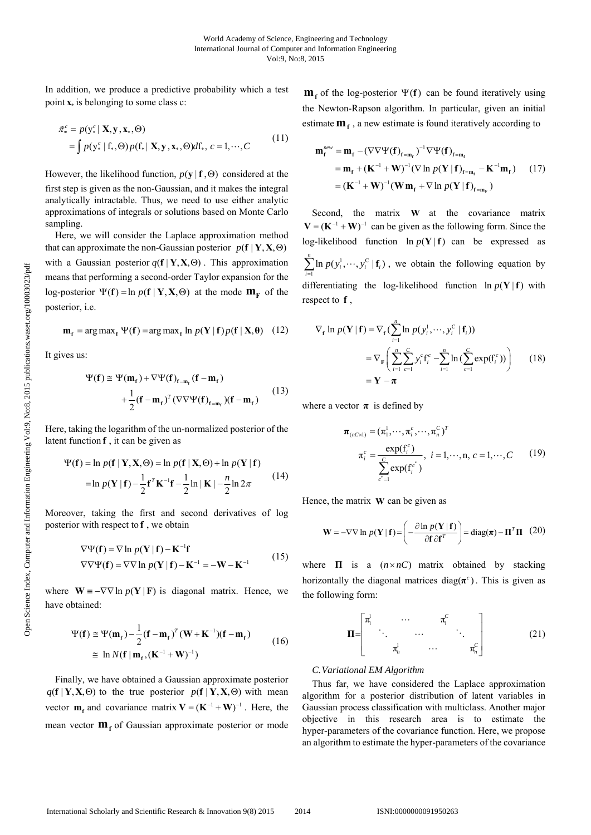In addition, we produce a predictive probability which a test point  $\mathbf{x}_*$  is belonging to some class c:

$$
\tilde{\pi}_{*}^{c} = p(\mathbf{y}_{*}^{c} | \mathbf{X}, \mathbf{y}, \mathbf{x}_{*}, \Theta)
$$
\n
$$
= \int p(\mathbf{y}_{*}^{c} | \mathbf{f}_{*}, \Theta) p(\mathbf{f}_{*} | \mathbf{X}, \mathbf{y}, \mathbf{x}_{*}, \Theta) d\mathbf{f}_{*}, \ c = 1, \cdots, C
$$
\n(11)

However, the likelihood function,  $p(y | f, \Theta)$  considered at the first step is given as the non-Gaussian, and it makes the integral analytically intractable. Thus, we need to use either analytic approximations of integrals or solutions based on Monte Carlo sampling.

Here, we will consider the Laplace approximation method that can approximate the non-Gaussian posterior  $p(f | Y, X, \Theta)$ with a Gaussian posterior  $q(f | Y, X, \Theta)$ . This approximation means that performing a second-order Taylor expansion for the log-posterior  $\Psi(f) = \ln p(f | Y, X, \Theta)$  at the mode  $m_F$  of the posterior, i.e.

$$
\mathbf{m}_{\mathbf{f}} = \arg \max_{\mathbf{f}} \Psi(\mathbf{f}) = \arg \max_{\mathbf{f}} \ln p(\mathbf{Y} | \mathbf{f}) p(\mathbf{f} | \mathbf{X}, \mathbf{\theta}) \quad (12)
$$

It gives us:

$$
\Psi(\mathbf{f}) \cong \Psi(\mathbf{m}_{\mathbf{f}}) + \nabla \Psi(\mathbf{f})_{\mathbf{f} = \mathbf{m}_{\mathbf{f}}} (\mathbf{f} - \mathbf{m}_{\mathbf{f}}) \n+ \frac{1}{2} (\mathbf{f} - \mathbf{m}_{\mathbf{f}})^T (\nabla \nabla \Psi(\mathbf{f})_{\mathbf{f} = \mathbf{m}_{\mathbf{f}}}) (\mathbf{f} - \mathbf{m}_{\mathbf{f}})
$$
\n(13)

Here, taking the logarithm of the un-normalized posterior of the latent function **f** , it can be given as

$$
\Psi(\mathbf{f}) = \ln p(\mathbf{f} | \mathbf{Y}, \mathbf{X}, \Theta) = \ln p(\mathbf{f} | \mathbf{X}, \Theta) + \ln p(\mathbf{Y} | \mathbf{f})
$$
  
= 
$$
\ln p(\mathbf{Y} | \mathbf{f}) - \frac{1}{2} \mathbf{f}^T \mathbf{K}^{-1} \mathbf{f} - \frac{1}{2} \ln |\mathbf{K}| - \frac{n}{2} \ln 2\pi
$$
 (14)

Moreover, taking the first and second derivatives of log posterior with respect to **f** , we obtain

$$
\nabla \Psi(\mathbf{f}) = \nabla \ln p(\mathbf{Y} | \mathbf{f}) - \mathbf{K}^{-1} \mathbf{f}
$$
  
 
$$
\nabla \nabla \Psi(\mathbf{f}) = \nabla \nabla \ln p(\mathbf{Y} | \mathbf{f}) - \mathbf{K}^{-1} = -\mathbf{W} - \mathbf{K}^{-1}
$$
 (15)

where  $W = -\nabla \nabla \ln p(Y | F)$  is diagonal matrix. Hence, we have obtained:

$$
\Psi(\mathbf{f}) \cong \Psi(\mathbf{m}_{\mathbf{f}}) - \frac{1}{2} (\mathbf{f} - \mathbf{m}_{\mathbf{f}})^{T} (\mathbf{W} + \mathbf{K}^{-1}) (\mathbf{f} - \mathbf{m}_{\mathbf{f}})
$$
  
\n
$$
\cong \ln N (\mathbf{f} | \mathbf{m}_{\mathbf{f}}, (\mathbf{K}^{-1} + \mathbf{W})^{-1})
$$
\n(16)

Finally, we have obtained a Gaussian approximate posterior  $q(f | Y, X, \Theta)$  to the true posterior  $p(f | Y, X, \Theta)$  with mean vector  $\mathbf{m}_t$  and covariance matrix  $\mathbf{V} = (\mathbf{K}^{-1} + \mathbf{W})^{-1}$ . Here, the mean vector  $m_f$  of Gaussian approximate posterior or mode

 $m_f$  of the log-posterior  $\Psi(f)$  can be found iteratively using the Newton-Rapson algorithm. In particular, given an initial estimate  $m_f$ , a new estimate is found iteratively according to

$$
\mathbf{m}_{\mathbf{f}}^{\text{new}} = \mathbf{m}_{\mathbf{f}} - (\nabla \nabla \Psi(\mathbf{f})_{\mathbf{f}=\mathbf{m}_{\mathbf{f}}})^{-1} \nabla \Psi(\mathbf{f})_{\mathbf{f}=\mathbf{m}_{\mathbf{f}}}
$$
  
=  $\mathbf{m}_{\mathbf{f}} + (\mathbf{K}^{-1} + \mathbf{W})^{-1} (\nabla \ln p(\mathbf{Y} \mid \mathbf{f})_{\mathbf{f}=\mathbf{m}_{\mathbf{f}}} - \mathbf{K}^{-1} \mathbf{m}_{\mathbf{f}})$  (17)  
=  $(\mathbf{K}^{-1} + \mathbf{W})^{-1} (\mathbf{W} \mathbf{m}_{\mathbf{f}} + \nabla \ln p(\mathbf{Y} \mid \mathbf{f})_{\mathbf{f}=\mathbf{m}_{\mathbf{F}}})$ 

Second, the matrix **W** at the covariance matrix  $V = (K^{-1} + W)^{-1}$  can be given as the following form. Since the log-likelihood function  $\ln p(Y | f)$  can be expressed as 1 C 1  $\sum_{i=1}^{n} \ln p(y_i^1, \dots, y_i^C | \mathbf{f}_i)$  $\sum_{i=1}^{\infty}$  **ii**  $P(Y_i, \dots, Y_i | \mathbf{I}_i)$  $p(y_i^1, \dots, y)$  $\sum_{i=1}^{\infty} \ln p(y_i^1, \dots, y_i^C | \mathbf{f}_i)$ , we obtain the following equation by differentiating the log-likelihood function  $\ln p(Y | f)$  with respect to **f** ,

$$
\nabla_{\mathbf{f}} \ln p(\mathbf{Y} | \mathbf{f}) = \nabla_{\mathbf{f}} \left( \sum_{i=1}^{n} \ln p(y_i^1, \cdots, y_i^C | \mathbf{f}_i) \right)
$$
  
= 
$$
\nabla_{\mathbf{F}} \left( \sum_{i=1}^{n} \sum_{c=1}^{C} y_i^c \mathbf{f}_i^c - \sum_{i=1}^{n} \ln \left( \sum_{c=1}^{C} \exp(\mathbf{f}_i^c) \right) \right)
$$
 (18)  
= 
$$
\mathbf{Y} - \boldsymbol{\pi}
$$

where a vector  $\pi$  is defined by

$$
\boldsymbol{\pi}_{(nC\times 1)} = (\pi_1^1, \cdots, \pi_i^c, \cdots, \pi_n^C)^T
$$
\n
$$
\boldsymbol{\pi}_i^c = \frac{\exp(\mathbf{f}_i^c)}{\sum_{c'=1}^C \exp(\mathbf{f}_i^{c^*})}, \quad i = 1, \cdots, n, \quad c = 1, \cdots, C \tag{19}
$$

Hence, the matrix **W** can be given as

$$
\mathbf{W} = -\nabla \nabla \ln p(\mathbf{Y} | \mathbf{f}) = \left( -\frac{\partial \ln p(\mathbf{Y} | \mathbf{f})}{\partial \mathbf{f} \partial \mathbf{f}^T} \right) = \text{diag}(\boldsymbol{\pi}) - \mathbf{\Pi}^T \mathbf{\Pi} \quad (20)
$$

where  $\Pi$  is a  $(n \times nC)$  matrix obtained by stacking horizontally the diagonal matrices diag( $\pi$ <sup>c</sup>). This is given as the following form:

$$
\mathbf{\Pi} = \begin{bmatrix} \pi_1^1 & \cdots & \pi_1^C \\ \vdots & \ddots & \vdots \\ \pi_n^1 & \cdots & \pi_n^C \end{bmatrix}
$$
 (21)

## *C.Variational EM Algorithm*

Thus far, we have considered the Laplace approximation algorithm for a posterior distribution of latent variables in Gaussian process classification with multiclass. Another major objective in this research area is to estimate the hyper-parameters of the covariance function. Here, we propose an algorithm to estimate the hyper-parameters of the covariance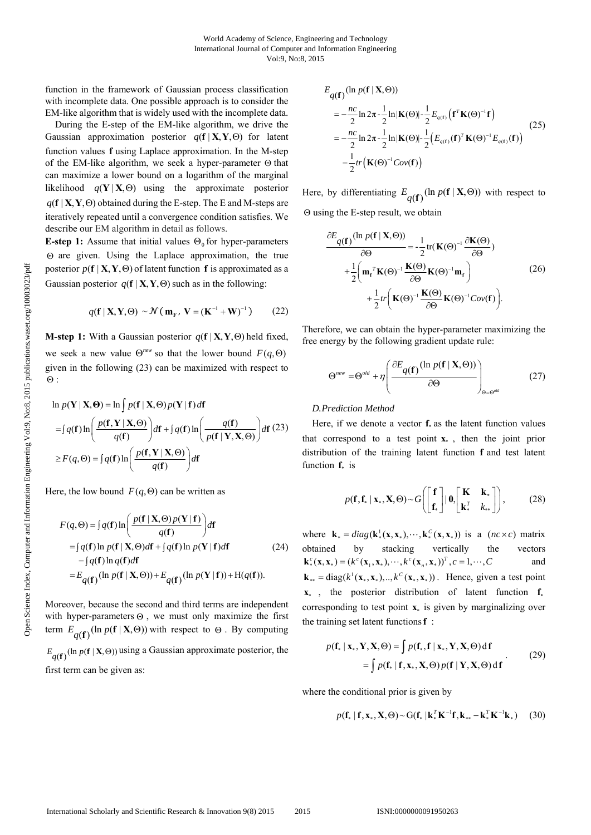function in the framework of Gaussian process classification with incomplete data. One possible approach is to consider the EM-like algorithm that is widely used with the incomplete data.

During the E-step of the EM-like algorithm, we drive the Gaussian approximation posterior  $q(f | X, Y, \Theta)$  for latent function values **f** using Laplace approximation. In the M-step of the EM-like algorithm, we seek a hyper-parameter  $\Theta$  that can maximize a lower bound on a logarithm of the marginal likelihood  $q(Y|X, \Theta)$  using the approximate posterior  $q(f | X, Y, \Theta)$  obtained during the E-step. The E and M-steps are iteratively repeated until a convergence condition satisfies. We describe our EM algorithm in detail as follows.

**E-step 1:** Assume that initial values  $\Theta_0$  for hyper-parameters  $\Theta$  are given. Using the Laplace approximation, the true posterior  $p(f | X, Y, \Theta)$  of latent function **f** is approximated as a Gaussian posterior  $q(f | X, Y, \Theta)$  such as in the following:

$$
q(\mathbf{f} \mid \mathbf{X}, \mathbf{Y}, \Theta) \sim \mathcal{N}(\mathbf{m}_{\mathbf{F}}, \mathbf{V} = (\mathbf{K}^{-1} + \mathbf{W})^{-1}) \tag{22}
$$

**M-step 1:** With a Gaussian posterior  $q(f | X, Y, \Theta)$  held fixed, we seek a new value  $\Theta^{new}$  so that the lower bound  $F(q, \Theta)$ given in the following (23) can be maximized with respect to  $\Theta$  :

$$
\ln p(\mathbf{Y} | \mathbf{X}, \Theta) = \ln \int p(\mathbf{f} | \mathbf{X}, \Theta) p(\mathbf{Y} | \mathbf{f}) d\mathbf{f}
$$
  
=  $\int q(\mathbf{f}) \ln \left( \frac{p(\mathbf{f}, \mathbf{Y} | \mathbf{X}, \Theta)}{q(\mathbf{f})} \right) d\mathbf{f} + \int q(\mathbf{f}) \ln \left( \frac{q(\mathbf{f})}{p(\mathbf{f} | \mathbf{Y}, \mathbf{X}, \Theta)} \right) d\mathbf{f}$  (23)  
 $\geq F(q, \Theta) = \int q(\mathbf{f}) \ln \left( \frac{p(\mathbf{f}, \mathbf{Y} | \mathbf{X}, \Theta)}{q(\mathbf{f})} \right) d\mathbf{f}$ 

Here, the low bound  $F(q, \Theta)$  can be written as

$$
F(q, \Theta) = \int q(\mathbf{f}) \ln \left( \frac{p(\mathbf{f} \mid \mathbf{X}, \Theta) p(\mathbf{Y} \mid \mathbf{f})}{q(\mathbf{f})} \right) d\mathbf{f}
$$
  
= 
$$
\int q(\mathbf{f}) \ln p(\mathbf{f} \mid \mathbf{X}, \Theta) d\mathbf{f} + \int q(\mathbf{f}) \ln p(\mathbf{Y} \mid \mathbf{f}) d\mathbf{f}
$$
  

$$
- \int q(\mathbf{f}) \ln q(\mathbf{f}) d\mathbf{f}
$$
  
= 
$$
E_{q(\mathbf{f})} (\ln p(\mathbf{f} \mid \mathbf{X}, \Theta)) + E_{q(\mathbf{f})} (\ln p(\mathbf{Y} \mid \mathbf{f})) + H(q(\mathbf{f})).
$$
 (24)

Moreover, because the second and third terms are independent with hyper-parameters  $\Theta$ , we must only maximize the first term  $E_{q(\mathbf{f})}(\ln p(\mathbf{f} | \mathbf{X}, \Theta))$  with respect to  $\Theta$ . By computing  $E_{q(\mathbf{f})}$  (ln  $p(\mathbf{f} | \mathbf{X}, \Theta)$ ) using a Gaussian approximate posterior, the first term can be given as:

$$
E_{q(\mathbf{f})}(\ln p(\mathbf{f} \mid \mathbf{X}, \Theta))
$$
  
\n
$$
= -\frac{nc}{2} \ln 2\pi - \frac{1}{2} \ln |\mathbf{K}(\Theta)| - \frac{1}{2} E_{q(\mathbf{f})} (\mathbf{f}^T \mathbf{K}(\Theta)^{-1} \mathbf{f})
$$
  
\n
$$
= -\frac{nc}{2} \ln 2\pi - \frac{1}{2} \ln |\mathbf{K}(\Theta)| - \frac{1}{2} (E_{q(\mathbf{f})} (\mathbf{f})^T \mathbf{K}(\Theta)^{-1} E_{q(\mathbf{f})} (\mathbf{f}))
$$
\n
$$
- \frac{1}{2} tr \left( \mathbf{K}(\Theta)^{-1} Cov(\mathbf{f}) \right)
$$
\n(25)

Here, by differentiating  $E_{q(\mathbf{f})}(\ln p(\mathbf{f} | \mathbf{X}, \Theta))$  with respect to  $\Theta$  using the E-step result, we obtain

$$
\frac{\partial E_{q(\mathbf{f})}(\ln p(\mathbf{f} \mid \mathbf{X}, \Theta))}{\partial \Theta} = -\frac{1}{2} \text{tr}(\mathbf{K}(\Theta)^{-1} \frac{\partial \mathbf{K}(\Theta)}{\partial \Theta})
$$

$$
+ \frac{1}{2} \left( \mathbf{m}_r^T \mathbf{K}(\Theta)^{-1} \frac{\mathbf{K}(\Theta)}{\partial \Theta} \mathbf{K}(\Theta)^{-1} \mathbf{m}_r \right)
$$

$$
+ \frac{1}{2} tr \left( \mathbf{K}(\Theta)^{-1} \frac{\mathbf{K}(\Theta)}{\partial \Theta} \mathbf{K}(\Theta)^{-1} Cov(\mathbf{f}) \right).
$$
(26)

Therefore, we can obtain the hyper-parameter maximizing the free energy by the following gradient update rule:

$$
\Theta^{new} = \Theta^{old} + \eta \left( \frac{\partial E_{q(\mathbf{f})}(\ln p(\mathbf{f} \mid \mathbf{X}, \Theta))}{\partial \Theta} \right)_{\Theta = \Theta^{old}}
$$
(27)

## *D.Prediction Method*

Here, if we denote a vector  $f_*$  as the latent function values that correspond to a test point  $\mathbf{x}_{*}$ , then the joint prior distribution of the training latent function **f** and test latent function **f**<sub>c</sub> is

$$
p(\mathbf{f}, \mathbf{f}_* \mid \mathbf{x}_*, \mathbf{X}, \Theta) \sim G\left(\begin{bmatrix} \mathbf{f} \\ \mathbf{f}_* \end{bmatrix} \mid \mathbf{0}, \begin{bmatrix} \mathbf{K} & \mathbf{k}_* \\ \mathbf{k}_*^T & k_{**} \end{bmatrix}\right),\tag{28}
$$

where  $\mathbf{k}_{*} = diag(\mathbf{k}_{*}^{1}(\mathbf{x}, \mathbf{x}_{*}), \cdots, \mathbf{k}_{*}^{C}(\mathbf{x}, \mathbf{x}_{*}))$  is a  $(nc \times c)$  matrix obtained by stacking vertically the vectors  $\mathbf{k}^{c}$  (**x**, **x**<sub>\*</sub>) = ( $k^{c}$  (**x**<sub>1</sub>, **x**<sub>\*</sub>), ···,  $k^{c}$  (**x**<sub>n</sub>, **x**<sub>\*</sub>))<sup>*T*</sup>, *c* = 1, ···, *C* and  $\mathbf{k}_{**} = \text{diag}(k^1(\mathbf{x}_*, \mathbf{x}_*), ..., k^C(\mathbf{x}_*, \mathbf{x}_*))$ . Hence, given a test point  $\mathbf{x}_{*}$ , the posterior distribution of latent function  $\mathbf{f}_{*}$ corresponding to test point  $\mathbf{x}_{*}$  is given by marginalizing over the training set latent functions**f** :

$$
p(\mathbf{f}_* | \mathbf{x}_*, \mathbf{Y}, \mathbf{X}, \Theta) = \int p(\mathbf{f}_*, \mathbf{f} | \mathbf{x}_*, \mathbf{Y}, \mathbf{X}, \Theta) d\mathbf{f}
$$
  
= 
$$
\int p(\mathbf{f}_* | \mathbf{f}, \mathbf{x}_*, \mathbf{X}, \Theta) p(\mathbf{f} | \mathbf{Y}, \mathbf{X}, \Theta) d\mathbf{f}
$$
 (29)

where the conditional prior is given by

$$
p(\mathbf{f}_* \mid \mathbf{f}, \mathbf{x}_*, \mathbf{X}, \Theta) \sim G(\mathbf{f}_* \mid \mathbf{k}_*^T \mathbf{K}^{-1} \mathbf{f}, \mathbf{k}_{**} - \mathbf{k}_*^T \mathbf{K}^{-1} \mathbf{k}_*) \tag{30}
$$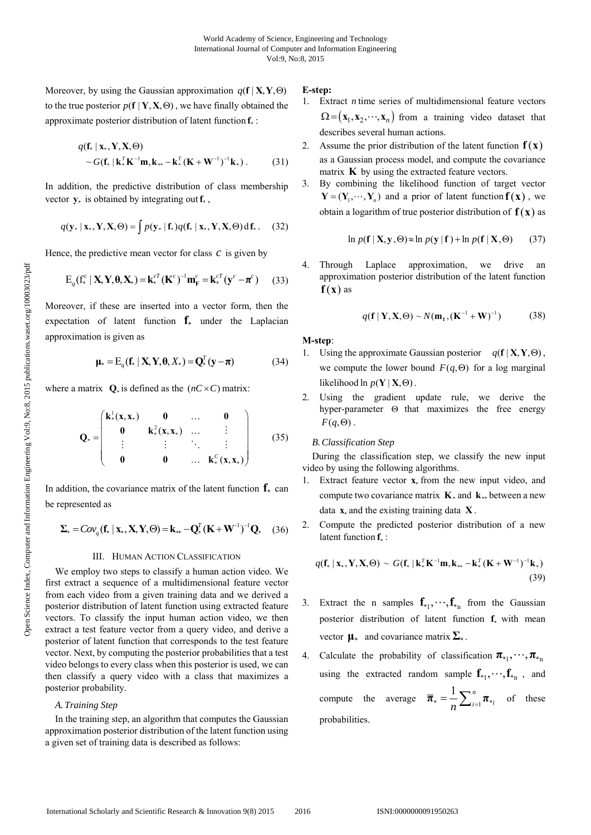Moreover, by using the Gaussian approximation  $q(f | X, Y, \Theta)$ to the true posterior  $p(f | Y, X, \Theta)$ , we have finally obtained the approximate posterior distribution of latent function  $f_*$ :

$$
q(\mathbf{f}_* \mid \mathbf{x}_*, \mathbf{Y}, \mathbf{X}, \Theta) \sim G(\mathbf{f}_* \mid \mathbf{k}_*^T \mathbf{K}^{-1} \mathbf{m}, \mathbf{k}_{**} - \mathbf{k}_*^T (\mathbf{K} + \mathbf{W}^{-1})^{-1} \mathbf{k}_*).
$$
 (31)

In addition, the predictive distribution of class membership vector  $\mathbf{y}_{*}$  is obtained by integrating out  $\mathbf{f}_{*}$ ,

$$
q(\mathbf{y}_{*} | \mathbf{x}_{*}, \mathbf{Y}, \mathbf{X}, \Theta) = \int p(\mathbf{y}_{*} | \mathbf{f}_{*}) q(\mathbf{f}_{*} | \mathbf{x}_{*}, \mathbf{Y}, \mathbf{X}, \Theta) d\mathbf{f}_{*}.
$$
 (32)

Hence, the predictive mean vector for class  $c$  is given by

$$
E_q(f_*^c | \mathbf{X}, \mathbf{Y}, \mathbf{\theta}, \mathbf{X}_*) = \mathbf{k}_*^{cT} (\mathbf{K}^c)^{-1} \mathbf{m}_F^c = \mathbf{k}_*^{cT} (\mathbf{y}^c - \boldsymbol{\pi}^c) \qquad (33)
$$

Moreover, if these are inserted into a vector form, then the expectation of latent function  $f_*$  under the Laplacian approximation is given as

$$
\mathbf{\mu}_{*} = \mathbf{E}_{q}(\mathbf{f}_{*} \mid \mathbf{X}, \mathbf{Y}, \mathbf{\theta}, X_{*}) = \mathbf{Q}_{*}^{T}(\mathbf{y} - \boldsymbol{\pi})
$$
(34)

where a matrix  $Q_*$  is defined as the  $(nC \times C)$  matrix:

$$
\mathbf{Q}_{*} = \begin{pmatrix} \mathbf{k}_{*}^{1}(\mathbf{x}, \mathbf{x}_{*}) & \mathbf{0} & \dots & \mathbf{0} \\ \mathbf{0} & \mathbf{k}_{*}^{2}(\mathbf{x}, \mathbf{x}_{*}) & \dots & \vdots \\ \vdots & \vdots & \ddots & \vdots \\ \mathbf{0} & \mathbf{0} & \dots & \mathbf{k}_{*}^{C}(\mathbf{x}, \mathbf{x}_{*}) \end{pmatrix}
$$
(35)

In addition, the covariance matrix of the latent function  $f_*$  can be represented as

$$
\Sigma_* = Cov_q(\mathbf{f}_* \mid \mathbf{x}_*, \mathbf{X}, \mathbf{Y}, \Theta) = \mathbf{k}_{**} - \mathbf{Q}_*^T (\mathbf{K} + \mathbf{W}^{-1})^{-1} \mathbf{Q}_* \quad (36)
$$

### III. HUMAN ACTION CLASSIFICATION

We employ two steps to classify a human action video. We first extract a sequence of a multidimensional feature vector from each video from a given training data and we derived a posterior distribution of latent function using extracted feature vectors. To classify the input human action video, we then extract a test feature vector from a query video, and derive a posterior of latent function that corresponds to the test feature vector. Next, by computing the posterior probabilities that a test video belongs to every class when this posterior is used, we can then classify a query video with a class that maximizes a posterior probability.

# *A.Training Step*

In the training step, an algorithm that computes the Gaussian approximation posterior distribution of the latent function using a given set of training data is described as follows:

## **E-step:**

- 1. Extract *n* time series of multidimensional feature vectors  $\Omega = (\mathbf{x}_1, \mathbf{x}_2, \cdots, \mathbf{x}_n)$  from a training video dataset that describes several human actions.
- 2. Assume the prior distribution of the latent function  $f(x)$ as a Gaussian process model, and compute the covariance matrix **K** by using the extracted feature vectors.
- 3. By combining the likelihood function of target vector  $Y = (Y_1, \dots, Y_n)$  and a prior of latent function  $f(x)$ , we obtain a logarithm of true posterior distribution of  $f(x)$  as

$$
\ln p(\mathbf{f} \mid \mathbf{X}, \mathbf{y}, \Theta) \approx \ln p(\mathbf{y} \mid \mathbf{f}) + \ln p(\mathbf{f} \mid \mathbf{X}, \Theta) \tag{37}
$$

4. Through Laplace approximation, we drive an approximation posterior distribution of the latent function  $f(x)$  as

$$
q(\mathbf{f} \mid \mathbf{Y}, \mathbf{X}, \Theta) \sim N(\mathbf{m}_{\mathbf{f}}, (\mathbf{K}^{-1} + \mathbf{W})^{-1})
$$
 (38)

### **M-step**:

- 1. Using the approximate Gaussian posterior  $q(\mathbf{f} | \mathbf{X}, \mathbf{Y}, \Theta)$ , we compute the lower bound  $F(q, \Theta)$  for a log marginal likelihood ln  $p(Y | X, \Theta)$ .
- 2. Using the gradient update rule, we derive the hyper-parameter  $\Theta$  that maximizes the free energy  $F(q,\Theta)$ .

## *B.Classification Step*

During the classification step, we classify the new input video by using the following algorithms.

- 1. Extract feature vector  $x$  from the new input video, and compute two covariance matrix  $\mathbf{K}$  and  $\mathbf{k}$ . between a new data  $\mathbf{x}_*$  and the existing training data  $\mathbf{X}$ .
- 2. Compute the predicted posterior distribution of a new latent function  $f_*$  :

$$
q(\mathbf{f}_* \mid \mathbf{x}_*, \mathbf{Y}, \mathbf{X}, \Theta) \sim G(\mathbf{f}_* \mid \mathbf{k}_*^T \mathbf{K}^{-1} \mathbf{m}, \mathbf{k}_{**} - \mathbf{k}_*^T (\mathbf{K} + \mathbf{W}^{-1})^{-1} \mathbf{k}_*)
$$
\n(39)

- 3. Extract the n samples  $f_{*1}, \dots, f_{*n}$  from the Gaussian posterior distribution of latent function  $f_*$  with mean vector  $\mathbf{\mu}_{*}$  and covariance matrix  $\Sigma_{*}$ .
- 4. Calculate the probability of classification  $\pi_{*1}, \dots, \pi_{*n}$ using the extracted random sample  $f_{*1}, \dots, f_{*n}$ , and compute the average  $\overline{\pi}_* = \frac{1}{n} \sum_{i=1}^n \pi_*$  $\overline{n}_{*} = \frac{1}{n} \sum_{i=1}^{n} \overline{n}_{*i}$  of these probabilities.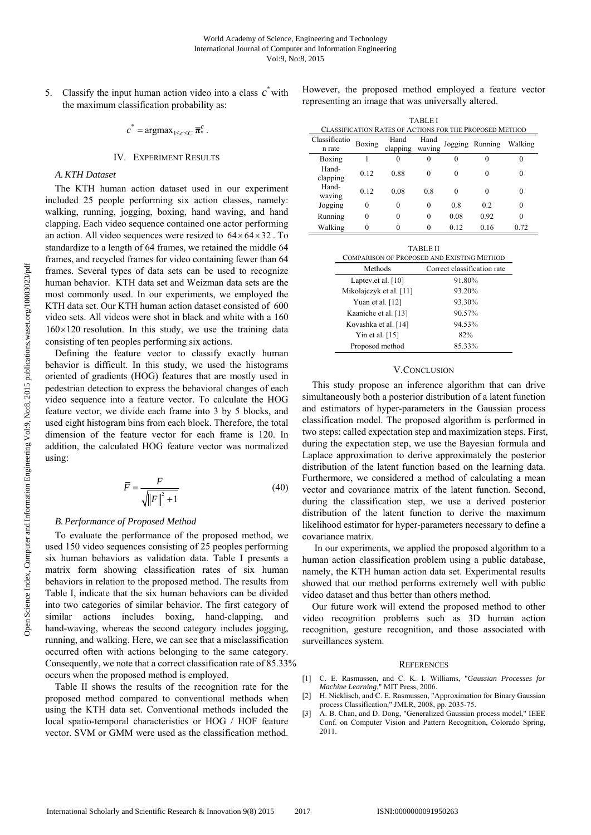5. Classify the input human action video into a class  $c^*$  with the maximum classification probability as:

 $c^* = \operatorname{argmax}_{1 \leq c \leq C} \overline{\boldsymbol{\pi}}_k^c$ .

# IV. EXPERIMENT RESULTS

# *A.KTH Dataset*

The KTH human action dataset used in our experiment included 25 people performing six action classes, namely: walking, running, jogging, boxing, hand waving, and hand clapping. Each video sequence contained one actor performing an action. All video sequences were resized to  $64 \times 64 \times 32$ . To standardize to a length of 64 frames, we retained the middle 64 frames, and recycled frames for video containing fewer than 64 frames. Several types of data sets can be used to recognize human behavior. KTH data set and Weizman data sets are the most commonly used. In our experiments, we employed the KTH data set. Our KTH human action dataset consisted of 600 video sets. All videos were shot in black and white with a 160  $160 \times 120$  resolution. In this study, we use the training data consisting of ten peoples performing six actions.

Defining the feature vector to classify exactly human behavior is difficult. In this study, we used the histograms oriented of gradients (HOG) features that are mostly used in pedestrian detection to express the behavioral changes of each video sequence into a feature vector. To calculate the HOG feature vector, we divide each frame into 3 by 5 blocks, and used eight histogram bins from each block. Therefore, the total dimension of the feature vector for each frame is 120. In addition, the calculated HOG feature vector was normalized using:

$$
\overline{F} = \frac{F}{\sqrt{\left\|F\right\|^2 + 1}}\tag{40}
$$

## *B.Performance of Proposed Method*

To evaluate the performance of the proposed method, we used 150 video sequences consisting of 25 peoples performing six human behaviors as validation data. Table I presents a matrix form showing classification rates of six human behaviors in relation to the proposed method. The results from Table I, indicate that the six human behaviors can be divided into two categories of similar behavior. The first category of similar actions includes boxing, hand-clapping, and hand-waving, whereas the second category includes jogging, running, and walking. Here, we can see that a misclassification occurred often with actions belonging to the same category. Consequently, we note that a correct classification rate of 85.33% occurs when the proposed method is employed.

Table II shows the results of the recognition rate for the proposed method compared to conventional methods when using the KTH data set. Conventional methods included the local spatio-temporal characteristics or HOG / HOF feature vector. SVM or GMM were used as the classification method.

However, the proposed method employed a feature vector representing an image that was universally altered.

| TABLEI                                                  |          |                  |                |         |         |         |  |
|---------------------------------------------------------|----------|------------------|----------------|---------|---------|---------|--|
| CLASSIFICATION RATES OF ACTIONS FOR THE PROPOSED METHOD |          |                  |                |         |         |         |  |
| Classificatio<br>n rate                                 | Boxing   | Hand<br>clapping | Hand<br>waving | Jogging | Running | Walking |  |
| Boxing                                                  |          | $\theta$         |                | 0       | 0       |         |  |
| Hand-<br>clapping                                       | 0.12     | 0.88             | 0              | 0       | $_{0}$  |         |  |
| Hand-<br>waving                                         | 0.12     | 0.08             | 0.8            | 0       | 0       |         |  |
| Jogging                                                 | $\Omega$ | $\Omega$         | 0              | 0.8     | 0.2     | 0       |  |
| Running                                                 | 0        | 0                | 0              | 0.08    | 0.92    |         |  |
| Walking                                                 |          |                  |                | 0.12    | 0.16    | 0.72    |  |

| <b>TABLE II</b><br>COMPARISON OF PROPOSED AND EXISTING METHOD |                             |  |  |  |  |
|---------------------------------------------------------------|-----------------------------|--|--|--|--|
| Methods                                                       | Correct classification rate |  |  |  |  |
| Laptev.et al. [10]                                            | 91.80%                      |  |  |  |  |
| Mikolajczyk et al. [11]                                       | 93.20%                      |  |  |  |  |
| Yuan et al. $[12]$                                            | 93.30%                      |  |  |  |  |
| Kaaniche et al. [13]                                          | 90.57%                      |  |  |  |  |
| Kovashka et al. [14]                                          | 94.53%                      |  |  |  |  |
| Yin et al. $[15]$                                             | 82%                         |  |  |  |  |
| Proposed method                                               | 85.33%                      |  |  |  |  |

#### V.CONCLUSION

This study propose an inference algorithm that can drive simultaneously both a posterior distribution of a latent function and estimators of hyper-parameters in the Gaussian process classification model. The proposed algorithm is performed in two steps: called expectation step and maximization steps. First, during the expectation step, we use the Bayesian formula and Laplace approximation to derive approximately the posterior distribution of the latent function based on the learning data. Furthermore, we considered a method of calculating a mean vector and covariance matrix of the latent function. Second, during the classification step, we use a derived posterior distribution of the latent function to derive the maximum likelihood estimator for hyper-parameters necessary to define a covariance matrix.

 In our experiments, we applied the proposed algorithm to a human action classification problem using a public database, namely, the KTH human action data set. Experimental results showed that our method performs extremely well with public video dataset and thus better than others method.

Our future work will extend the proposed method to other video recognition problems such as 3D human action recognition, gesture recognition, and those associated with surveillances system.

#### **REFERENCES**

- [1] C. E. Rasmussen, and C. K. I. Williams, "*Gaussian Processes for Machine Learning*," MIT Press, 2006.
- [2] H. Nicklisch, and C. E. Rasmussen, "Approximation for Binary Gaussian process Classification," JMLR, 2008, pp. 2035-75.
- [3] A. B. Chan, and D. Dong, "Generalized Gaussian process model," IEEE Conf. on Computer Vision and Pattern Recognition, Colorado Spring, 2011.